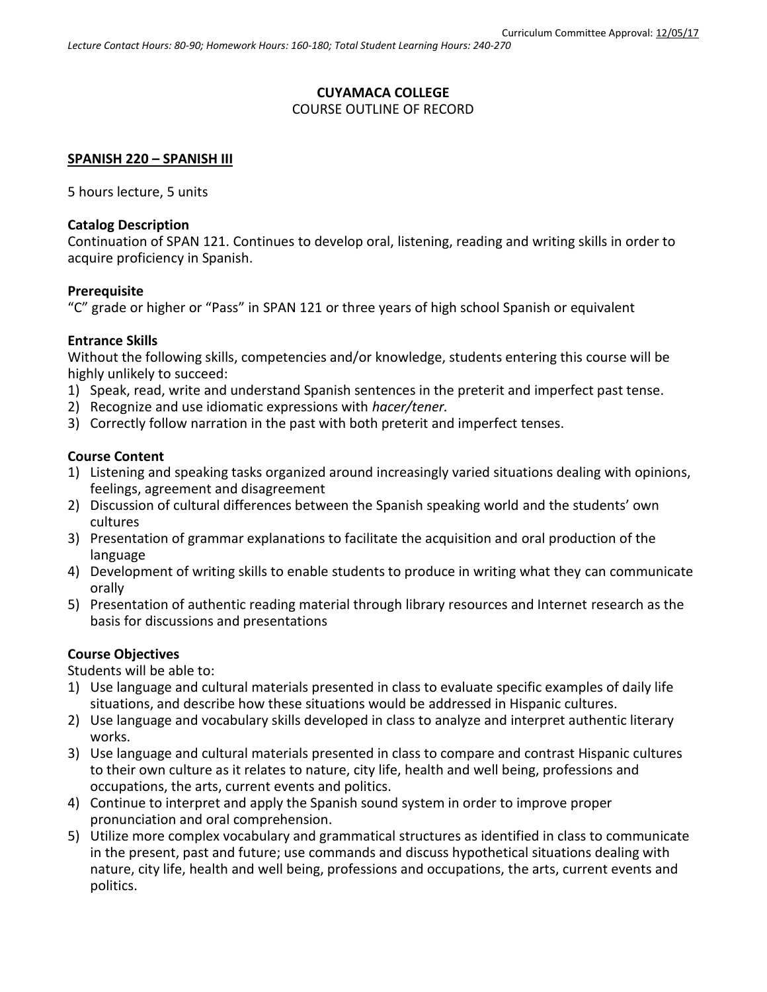# **CUYAMACA COLLEGE**

### COURSE OUTLINE OF RECORD

#### **SPANISH 220 – SPANISH III**

5 hours lecture, 5 units

#### **Catalog Description**

Continuation of SPAN 121. Continues to develop oral, listening, reading and writing skills in order to acquire proficiency in Spanish.

#### **Prerequisite**

"C" grade or higher or "Pass" in SPAN 121 or three years of high school Spanish or equivalent

### **Entrance Skills**

Without the following skills, competencies and/or knowledge, students entering this course will be highly unlikely to succeed:

- 1) Speak, read, write and understand Spanish sentences in the preterit and imperfect past tense.
- 2) Recognize and use idiomatic expressions with *hacer/tener.*
- 3) Correctly follow narration in the past with both preterit and imperfect tenses.

### **Course Content**

- 1) Listening and speaking tasks organized around increasingly varied situations dealing with opinions, feelings, agreement and disagreement
- 2) Discussion of cultural differences between the Spanish speaking world and the students' own cultures
- 3) Presentation of grammar explanations to facilitate the acquisition and oral production of the language
- 4) Development of writing skills to enable students to produce in writing what they can communicate orally
- 5) Presentation of authentic reading material through library resources and Internet research as the basis for discussions and presentations

## **Course Objectives**

Students will be able to:

- 1) Use language and cultural materials presented in class to evaluate specific examples of daily life situations, and describe how these situations would be addressed in Hispanic cultures.
- 2) Use language and vocabulary skills developed in class to analyze and interpret authentic literary works.
- 3) Use language and cultural materials presented in class to compare and contrast Hispanic cultures to their own culture as it relates to nature, city life, health and well being, professions and occupations, the arts, current events and politics.
- 4) Continue to interpret and apply the Spanish sound system in order to improve proper pronunciation and oral comprehension.
- 5) Utilize more complex vocabulary and grammatical structures as identified in class to communicate in the present, past and future; use commands and discuss hypothetical situations dealing with nature, city life, health and well being, professions and occupations, the arts, current events and politics.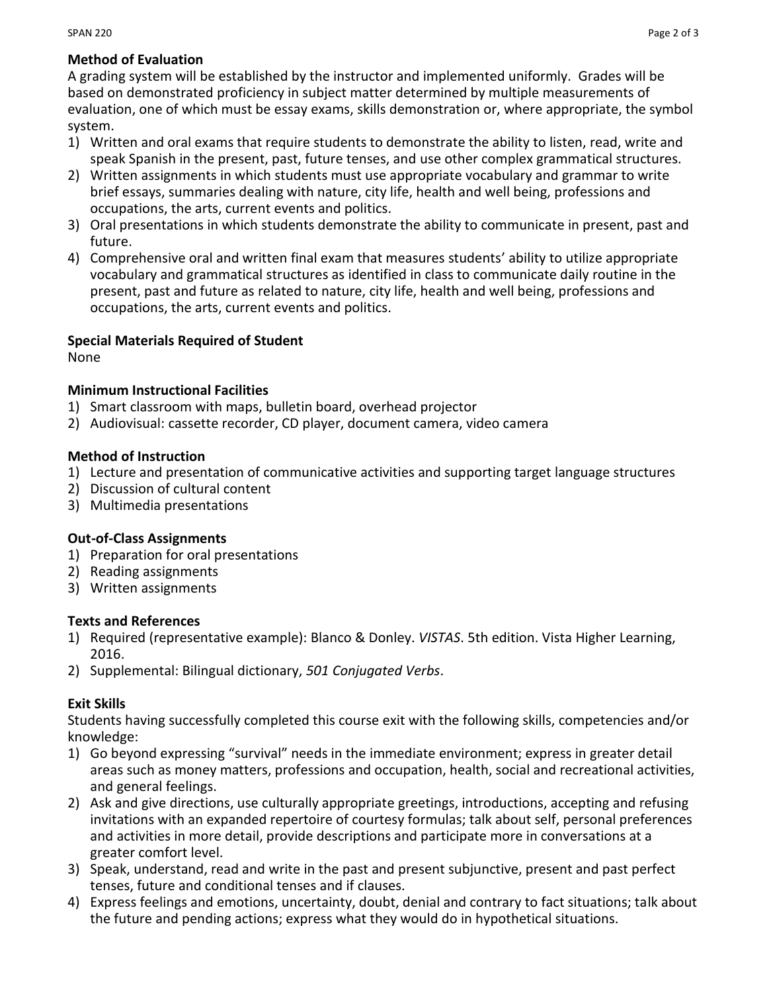# **Method of Evaluation**

A grading system will be established by the instructor and implemented uniformly. Grades will be based on demonstrated proficiency in subject matter determined by multiple measurements of evaluation, one of which must be essay exams, skills demonstration or, where appropriate, the symbol system.

- 1) Written and oral exams that require students to demonstrate the ability to listen, read, write and speak Spanish in the present, past, future tenses, and use other complex grammatical structures.
- 2) Written assignments in which students must use appropriate vocabulary and grammar to write brief essays, summaries dealing with nature, city life, health and well being, professions and occupations, the arts, current events and politics.
- 3) Oral presentations in which students demonstrate the ability to communicate in present, past and future.
- 4) Comprehensive oral and written final exam that measures students' ability to utilize appropriate vocabulary and grammatical structures as identified in class to communicate daily routine in the present, past and future as related to nature, city life, health and well being, professions and occupations, the arts, current events and politics.

# **Special Materials Required of Student**

None

# **Minimum Instructional Facilities**

- 1) Smart classroom with maps, bulletin board, overhead projector
- 2) Audiovisual: cassette recorder, CD player, document camera, video camera

## **Method of Instruction**

- 1) Lecture and presentation of communicative activities and supporting target language structures
- 2) Discussion of cultural content
- 3) Multimedia presentations

# **Out-of-Class Assignments**

- 1) Preparation for oral presentations
- 2) Reading assignments
- 3) Written assignments

## **Texts and References**

- 1) Required (representative example): Blanco & Donley. *VISTAS*. 5th edition. Vista Higher Learning, 2016.
- 2) Supplemental: Bilingual dictionary, *501 Conjugated Verbs*.

# **Exit Skills**

Students having successfully completed this course exit with the following skills, competencies and/or knowledge:

- 1) Go beyond expressing "survival" needs in the immediate environment; express in greater detail areas such as money matters, professions and occupation, health, social and recreational activities, and general feelings.
- 2) Ask and give directions, use culturally appropriate greetings, introductions, accepting and refusing invitations with an expanded repertoire of courtesy formulas; talk about self, personal preferences and activities in more detail, provide descriptions and participate more in conversations at a greater comfort level.
- 3) Speak, understand, read and write in the past and present subjunctive, present and past perfect tenses, future and conditional tenses and if clauses.
- 4) Express feelings and emotions, uncertainty, doubt, denial and contrary to fact situations; talk about the future and pending actions; express what they would do in hypothetical situations.